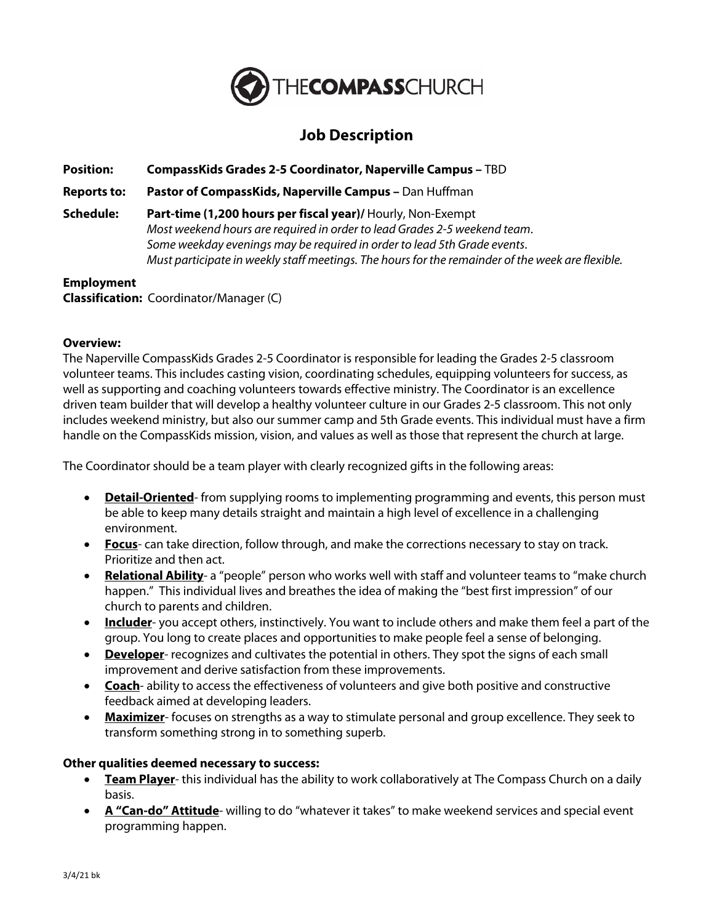

# **Job Description**

**Position: CompassKids Grades 2-5 Coordinator, Naperville Campus –** TBD

**Reports to: Pastor of CompassKids, Naperville Campus –** Dan Huffman

**Schedule: Part-time (1,200 hours per fiscal year)/** Hourly, Non-Exempt *Most weekend hours are required in order to lead Grades 2-5 weekend team*. *Some weekday evenings may be required in order to lead 5th Grade events*. *Must participate in weekly staff meetings. The hours for the remainder of the week are flexible.*

#### **Employment Classification:** Coordinator/Manager (C)

## **Overview:**

The Naperville CompassKids Grades 2-5 Coordinator is responsible for leading the Grades 2-5 classroom volunteer teams. This includes casting vision, coordinating schedules, equipping volunteers for success, as well as supporting and coaching volunteers towards effective ministry. The Coordinator is an excellence driven team builder that will develop a healthy volunteer culture in our Grades 2-5 classroom. This not only includes weekend ministry, but also our summer camp and 5th Grade events. This individual must have a firm handle on the CompassKids mission, vision, and values as well as those that represent the church at large.

The Coordinator should be a team player with clearly recognized gifts in the following areas:

- **Detail-Oriented** from supplying rooms to implementing programming and events, this person must be able to keep many details straight and maintain a high level of excellence in a challenging environment.
- **Focus** can take direction, follow through, and make the corrections necessary to stay on track. Prioritize and then act.
- **Relational Ability** a "people" person who works well with staff and volunteer teams to "make church happen." This individual lives and breathes the idea of making the "best first impression" of our church to parents and children.
- **Includer** you accept others, instinctively. You want to include others and make them feel a part of the group. You long to create places and opportunities to make people feel a sense of belonging.
- **Developer** recognizes and cultivates the potential in others. They spot the signs of each small improvement and derive satisfaction from these improvements.
- **Coach** ability to access the effectiveness of volunteers and give both positive and constructive feedback aimed at developing leaders.
- **Maximizer** focuses on strengths as a way to stimulate personal and group excellence. They seek to transform something strong in to something superb.

## **Other qualities deemed necessary to success:**

- **Team Player** this individual has the ability to work collaboratively at The Compass Church on a daily basis.
- **A "Can-do" Attitude** willing to do "whatever it takes" to make weekend services and special event programming happen.